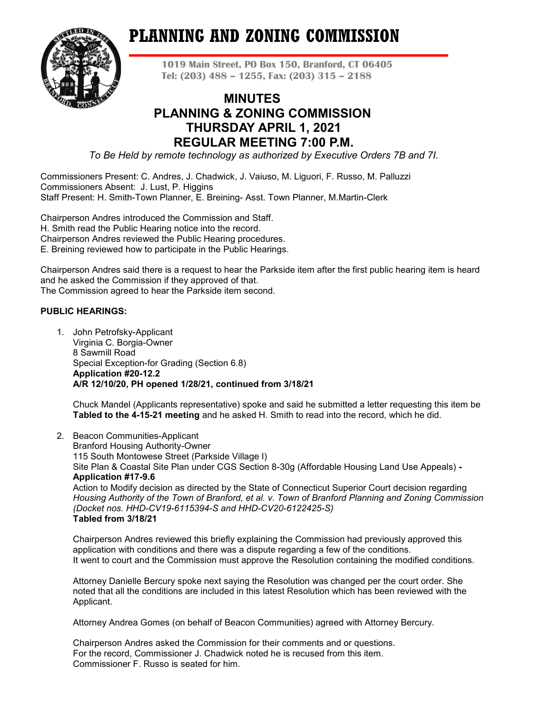# **PLANNING AND ZONING COMMISSION**



**1019 Main Street, PO Box 150, Branford, CT 06405 Tel: (203) 488 – 1255, Fax: (203) 315 – 2188**

# **MINUTES PLANNING & ZONING COMMISSION THURSDAY APRIL 1, 2021 REGULAR MEETING 7:00 P.M.**

*To Be Held by remote technology as authorized by Executive Orders 7B and 7I.*

Commissioners Present: C. Andres, J. Chadwick, J. Vaiuso, M. Liguori, F. Russo, M. Palluzzi Commissioners Absent: J. Lust, P. Higgins Staff Present: H. Smith-Town Planner, E. Breining- Asst. Town Planner, M.Martin-Clerk

Chairperson Andres introduced the Commission and Staff. H. Smith read the Public Hearing notice into the record. Chairperson Andres reviewed the Public Hearing procedures. E. Breining reviewed how to participate in the Public Hearings.

Chairperson Andres said there is a request to hear the Parkside item after the first public hearing item is heard and he asked the Commission if they approved of that. The Commission agreed to hear the Parkside item second.

# **PUBLIC HEARINGS:**

1. John Petrofsky-Applicant Virginia C. Borgia-Owner 8 Sawmill Road Special Exception-for Grading (Section 6.8) **Application #20-12.2 A/R 12/10/20, PH opened 1/28/21, continued from 3/18/21**

Chuck Mandel (Applicants representative) spoke and said he submitted a letter requesting this item be **Tabled to the 4-15-21 meeting** and he asked H. Smith to read into the record, which he did.

2. Beacon Communities-Applicant

Branford Housing Authority-Owner 115 South Montowese Street (Parkside Village I) Site Plan & Coastal Site Plan under CGS Section 8-30g (Affordable Housing Land Use Appeals) **- Application #17-9.6** Action to Modify decision as directed by the State of Connecticut Superior Court decision regarding *Housing Authority of the Town of Branford, et al. v. Town of Branford Planning and Zoning Commission (Docket nos. HHD-CV19-6115394-S and HHD-CV20-6122425-S)*

# **Tabled from 3/18/21**

Chairperson Andres reviewed this briefly explaining the Commission had previously approved this application with conditions and there was a dispute regarding a few of the conditions. It went to court and the Commission must approve the Resolution containing the modified conditions.

Attorney Danielle Bercury spoke next saying the Resolution was changed per the court order. She noted that all the conditions are included in this latest Resolution which has been reviewed with the Applicant.

Attorney Andrea Gomes (on behalf of Beacon Communities) agreed with Attorney Bercury.

Chairperson Andres asked the Commission for their comments and or questions. For the record, Commissioner J. Chadwick noted he is recused from this item. Commissioner F. Russo is seated for him.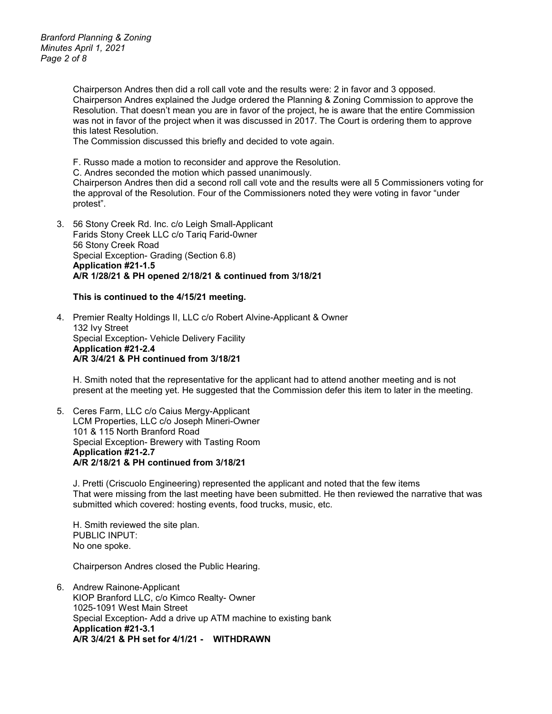*Branford Planning & Zoning Minutes April 1, 2021 Page 2 of 8*

> Chairperson Andres then did a roll call vote and the results were: 2 in favor and 3 opposed. Chairperson Andres explained the Judge ordered the Planning & Zoning Commission to approve the Resolution. That doesn't mean you are in favor of the project, he is aware that the entire Commission was not in favor of the project when it was discussed in 2017. The Court is ordering them to approve this latest Resolution.

The Commission discussed this briefly and decided to vote again.

F. Russo made a motion to reconsider and approve the Resolution.

C. Andres seconded the motion which passed unanimously.

Chairperson Andres then did a second roll call vote and the results were all 5 Commissioners voting for the approval of the Resolution. Four of the Commissioners noted they were voting in favor "under protest".

3. 56 Stony Creek Rd. Inc. c/o Leigh Small-Applicant Farids Stony Creek LLC c/o Tariq Farid-0wner 56 Stony Creek Road Special Exception- Grading (Section 6.8) **Application #21-1.5 A/R 1/28/21 & PH opened 2/18/21 & continued from 3/18/21**

#### **This is continued to the 4/15/21 meeting.**

4. Premier Realty Holdings II, LLC c/o Robert Alvine-Applicant & Owner 132 Ivy Street Special Exception- Vehicle Delivery Facility **Application #21-2.4 A/R 3/4/21 & PH continued from 3/18/21**

H. Smith noted that the representative for the applicant had to attend another meeting and is not present at the meeting yet. He suggested that the Commission defer this item to later in the meeting.

5. Ceres Farm, LLC c/o Caius Mergy-Applicant LCM Properties, LLC c/o Joseph Mineri-Owner 101 & 115 North Branford Road Special Exception- Brewery with Tasting Room **Application #21-2.7 A/R 2/18/21 & PH continued from 3/18/21**

J. Pretti (Criscuolo Engineering) represented the applicant and noted that the few items That were missing from the last meeting have been submitted. He then reviewed the narrative that was submitted which covered: hosting events, food trucks, music, etc.

H. Smith reviewed the site plan. PUBLIC INPUT: No one spoke.

Chairperson Andres closed the Public Hearing.

6. Andrew Rainone-Applicant KIOP Branford LLC, c/o Kimco Realty- Owner 1025-1091 West Main Street Special Exception- Add a drive up ATM machine to existing bank **Application #21-3.1 A/R 3/4/21 & PH set for 4/1/21 - WITHDRAWN**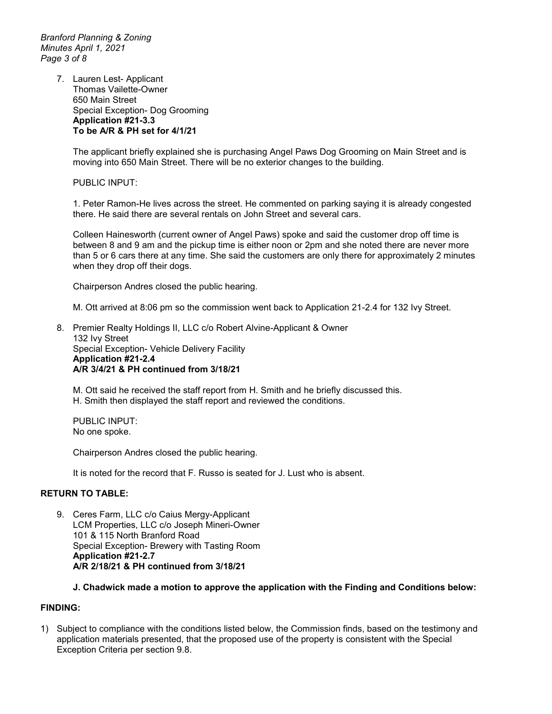*Branford Planning & Zoning Minutes April 1, 2021 Page 3 of 8*

> 7. Lauren Lest- Applicant Thomas Vailette-Owner 650 Main Street Special Exception- Dog Grooming **Application #21-3.3 To be A/R & PH set for 4/1/21**

> > The applicant briefly explained she is purchasing Angel Paws Dog Grooming on Main Street and is moving into 650 Main Street. There will be no exterior changes to the building.

PUBLIC INPUT:

1. Peter Ramon-He lives across the street. He commented on parking saying it is already congested there. He said there are several rentals on John Street and several cars.

Colleen Hainesworth (current owner of Angel Paws) spoke and said the customer drop off time is between 8 and 9 am and the pickup time is either noon or 2pm and she noted there are never more than 5 or 6 cars there at any time. She said the customers are only there for approximately 2 minutes when they drop off their dogs.

Chairperson Andres closed the public hearing.

M. Ott arrived at 8:06 pm so the commission went back to Application 21-2.4 for 132 Ivy Street.

8. Premier Realty Holdings II, LLC c/o Robert Alvine-Applicant & Owner 132 Ivy Street Special Exception- Vehicle Delivery Facility **Application #21-2.4 A/R 3/4/21 & PH continued from 3/18/21** 

M. Ott said he received the staff report from H. Smith and he briefly discussed this. H. Smith then displayed the staff report and reviewed the conditions.

PUBLIC INPUT: No one spoke.

Chairperson Andres closed the public hearing.

It is noted for the record that F. Russo is seated for J. Lust who is absent.

# **RETURN TO TABLE:**

9. Ceres Farm, LLC c/o Caius Mergy-Applicant LCM Properties, LLC c/o Joseph Mineri-Owner 101 & 115 North Branford Road Special Exception- Brewery with Tasting Room **Application #21-2.7 A/R 2/18/21 & PH continued from 3/18/21**

#### **J. Chadwick made a motion to approve the application with the Finding and Conditions below:**

#### **FINDING:**

1) Subject to compliance with the conditions listed below, the Commission finds, based on the testimony and application materials presented, that the proposed use of the property is consistent with the Special Exception Criteria per section 9.8.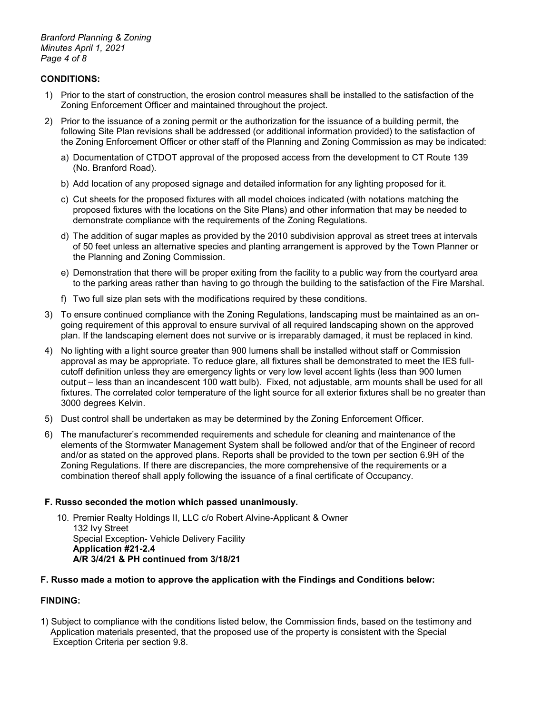*Branford Planning & Zoning Minutes April 1, 2021 Page 4 of 8*

# **CONDITIONS:**

- 1) Prior to the start of construction, the erosion control measures shall be installed to the satisfaction of the Zoning Enforcement Officer and maintained throughout the project.
- 2) Prior to the issuance of a zoning permit or the authorization for the issuance of a building permit, the following Site Plan revisions shall be addressed (or additional information provided) to the satisfaction of the Zoning Enforcement Officer or other staff of the Planning and Zoning Commission as may be indicated:
	- a) Documentation of CTDOT approval of the proposed access from the development to CT Route 139 (No. Branford Road).
	- b) Add location of any proposed signage and detailed information for any lighting proposed for it.
	- c) Cut sheets for the proposed fixtures with all model choices indicated (with notations matching the proposed fixtures with the locations on the Site Plans) and other information that may be needed to demonstrate compliance with the requirements of the Zoning Regulations.
	- d) The addition of sugar maples as provided by the 2010 subdivision approval as street trees at intervals of 50 feet unless an alternative species and planting arrangement is approved by the Town Planner or the Planning and Zoning Commission.
	- e) Demonstration that there will be proper exiting from the facility to a public way from the courtyard area to the parking areas rather than having to go through the building to the satisfaction of the Fire Marshal.
	- f) Two full size plan sets with the modifications required by these conditions.
- 3) To ensure continued compliance with the Zoning Regulations, landscaping must be maintained as an ongoing requirement of this approval to ensure survival of all required landscaping shown on the approved plan. If the landscaping element does not survive or is irreparably damaged, it must be replaced in kind.
- 4) No lighting with a light source greater than 900 lumens shall be installed without staff or Commission approval as may be appropriate. To reduce glare, all fixtures shall be demonstrated to meet the IES fullcutoff definition unless they are emergency lights or very low level accent lights (less than 900 lumen output – less than an incandescent 100 watt bulb). Fixed, not adjustable, arm mounts shall be used for all fixtures. The correlated color temperature of the light source for all exterior fixtures shall be no greater than 3000 degrees Kelvin.
- 5) Dust control shall be undertaken as may be determined by the Zoning Enforcement Officer.
- 6) The manufacturer's recommended requirements and schedule for cleaning and maintenance of the elements of the Stormwater Management System shall be followed and/or that of the Engineer of record and/or as stated on the approved plans. Reports shall be provided to the town per section 6.9H of the Zoning Regulations. If there are discrepancies, the more comprehensive of the requirements or a combination thereof shall apply following the issuance of a final certificate of Occupancy.

#### **F. Russo seconded the motion which passed unanimously.**

10. Premier Realty Holdings II, LLC c/o Robert Alvine-Applicant & Owner 132 Ivy Street Special Exception- Vehicle Delivery Facility **Application #21-2.4 A/R 3/4/21 & PH continued from 3/18/21** 

#### **F. Russo made a motion to approve the application with the Findings and Conditions below:**

# **FINDING:**

1) Subject to compliance with the conditions listed below, the Commission finds, based on the testimony and Application materials presented, that the proposed use of the property is consistent with the Special Exception Criteria per section 9.8.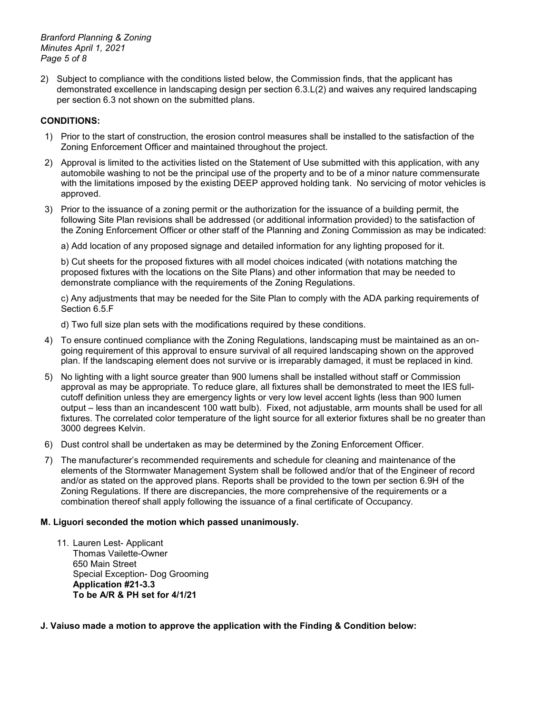*Branford Planning & Zoning Minutes April 1, 2021 Page 5 of 8*

2) Subject to compliance with the conditions listed below, the Commission finds, that the applicant has demonstrated excellence in landscaping design per section 6.3.L(2) and waives any required landscaping per section 6.3 not shown on the submitted plans.

# **CONDITIONS:**

- 1) Prior to the start of construction, the erosion control measures shall be installed to the satisfaction of the Zoning Enforcement Officer and maintained throughout the project.
- 2) Approval is limited to the activities listed on the Statement of Use submitted with this application, with any automobile washing to not be the principal use of the property and to be of a minor nature commensurate with the limitations imposed by the existing DEEP approved holding tank. No servicing of motor vehicles is approved.
- 3) Prior to the issuance of a zoning permit or the authorization for the issuance of a building permit, the following Site Plan revisions shall be addressed (or additional information provided) to the satisfaction of the Zoning Enforcement Officer or other staff of the Planning and Zoning Commission as may be indicated:
	- a) Add location of any proposed signage and detailed information for any lighting proposed for it.

b) Cut sheets for the proposed fixtures with all model choices indicated (with notations matching the proposed fixtures with the locations on the Site Plans) and other information that may be needed to demonstrate compliance with the requirements of the Zoning Regulations.

c) Any adjustments that may be needed for the Site Plan to comply with the ADA parking requirements of Section 6.5.F

d) Two full size plan sets with the modifications required by these conditions.

- 4) To ensure continued compliance with the Zoning Regulations, landscaping must be maintained as an ongoing requirement of this approval to ensure survival of all required landscaping shown on the approved plan. If the landscaping element does not survive or is irreparably damaged, it must be replaced in kind.
- 5) No lighting with a light source greater than 900 lumens shall be installed without staff or Commission approval as may be appropriate. To reduce glare, all fixtures shall be demonstrated to meet the IES fullcutoff definition unless they are emergency lights or very low level accent lights (less than 900 lumen output – less than an incandescent 100 watt bulb). Fixed, not adjustable, arm mounts shall be used for all fixtures. The correlated color temperature of the light source for all exterior fixtures shall be no greater than 3000 degrees Kelvin.
- 6) Dust control shall be undertaken as may be determined by the Zoning Enforcement Officer.
- 7) The manufacturer's recommended requirements and schedule for cleaning and maintenance of the elements of the Stormwater Management System shall be followed and/or that of the Engineer of record and/or as stated on the approved plans. Reports shall be provided to the town per section 6.9H of the Zoning Regulations. If there are discrepancies, the more comprehensive of the requirements or a combination thereof shall apply following the issuance of a final certificate of Occupancy.

# **M. Liguori seconded the motion which passed unanimously.**

11. Lauren Lest- Applicant Thomas Vailette-Owner 650 Main Street Special Exception- Dog Grooming **Application #21-3.3 To be A/R & PH set for 4/1/21**

# **J. Vaiuso made a motion to approve the application with the Finding & Condition below:**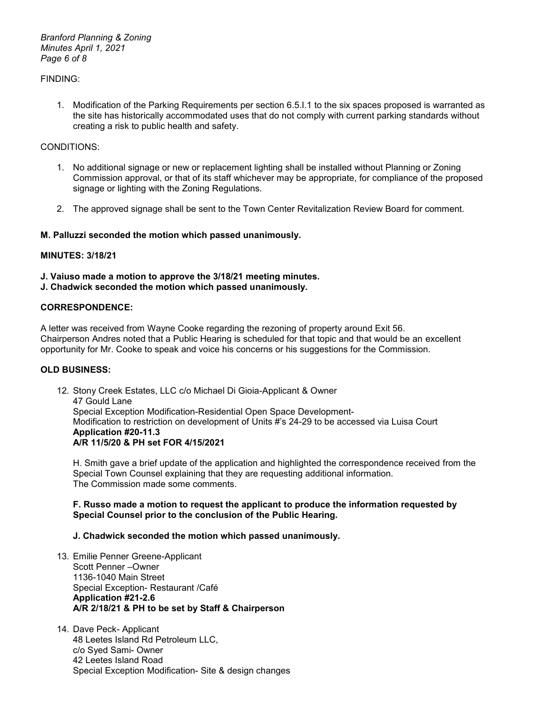*Branford Planning & Zoning Minutes April 1, 2021 Page 6 of 8*

### FINDING:

1. Modification of the Parking Requirements per section 6.5.I.1 to the six spaces proposed is warranted as the site has historically accommodated uses that do not comply with current parking standards without creating a risk to public health and safety.

#### CONDITIONS:

- 1. No additional signage or new or replacement lighting shall be installed without Planning or Zoning Commission approval, or that of its staff whichever may be appropriate, for compliance of the proposed signage or lighting with the Zoning Regulations.
- 2. The approved signage shall be sent to the Town Center Revitalization Review Board for comment.

#### **M. Palluzzi seconded the motion which passed unanimously.**

# **MINUTES: 3/18/21**

- **J. Vaiuso made a motion to approve the 3/18/21 meeting minutes.**
- **J. Chadwick seconded the motion which passed unanimously.**

## **CORRESPONDENCE:**

A letter was received from Wayne Cooke regarding the rezoning of property around Exit 56. Chairperson Andres noted that a Public Hearing is scheduled for that topic and that would be an excellent opportunity for Mr. Cooke to speak and voice his concerns or his suggestions for the Commission.

#### **OLD BUSINESS:**

12. Stony Creek Estates, LLC c/o Michael Di Gioia-Applicant & Owner 47 Gould Lane Special Exception Modification-Residential Open Space Development-Modification to restriction on development of Units #'s 24-29 to be accessed via Luisa Court **Application #20-11.3 A/R 11/5/20 & PH set FOR 4/15/2021**

H. Smith gave a brief update of the application and highlighted the correspondence received from the Special Town Counsel explaining that they are requesting additional information. The Commission made some comments.

#### **F. Russo made a motion to request the applicant to produce the information requested by Special Counsel prior to the conclusion of the Public Hearing.**

#### **J. Chadwick seconded the motion which passed unanimously.**

- 13. Emilie Penner Greene-Applicant Scott Penner –Owner 1136-1040 Main Street Special Exception- Restaurant /Café **Application #21-2.6 A/R 2/18/21 & PH to be set by Staff & Chairperson**
- 14. Dave Peck- Applicant 48 Leetes Island Rd Petroleum LLC, c/o Syed Sami- Owner 42 Leetes Island Road Special Exception Modification- Site & design changes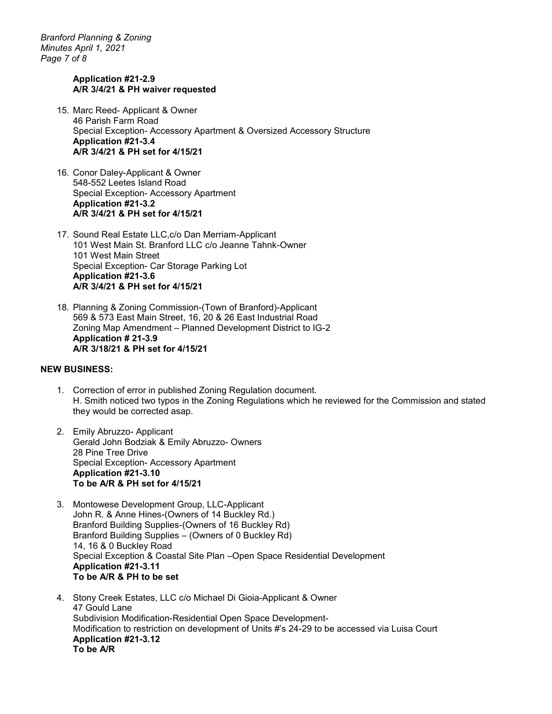*Branford Planning & Zoning Minutes April 1, 2021 Page 7 of 8*

#### **Application #21-2.9 A/R 3/4/21 & PH waiver requested**

- 15. Marc Reed- Applicant & Owner 46 Parish Farm Road Special Exception- Accessory Apartment & Oversized Accessory Structure **Application #21-3.4 A/R 3/4/21 & PH set for 4/15/21**
- 16. Conor Daley-Applicant & Owner 548-552 Leetes Island Road Special Exception- Accessory Apartment **Application #21-3.2 A/R 3/4/21 & PH set for 4/15/21**
- 17. Sound Real Estate LLC,c/o Dan Merriam-Applicant 101 West Main St. Branford LLC c/o Jeanne Tahnk-Owner 101 West Main Street Special Exception- Car Storage Parking Lot **Application #21-3.6 A/R 3/4/21 & PH set for 4/15/21**
- 18. Planning & Zoning Commission-(Town of Branford)-Applicant 569 & 573 East Main Street, 16, 20 & 26 East Industrial Road Zoning Map Amendment – Planned Development District to IG-2 **Application # 21-3.9 A/R 3/18/21 & PH set for 4/15/21**

#### **NEW BUSINESS:**

- 1. Correction of error in published Zoning Regulation document. H. Smith noticed two typos in the Zoning Regulations which he reviewed for the Commission and stated they would be corrected asap.
- 2. Emily Abruzzo- Applicant Gerald John Bodziak & Emily Abruzzo- Owners 28 Pine Tree Drive Special Exception- Accessory Apartment **Application #21-3.10 To be A/R & PH set for 4/15/21**
- 3. Montowese Development Group, LLC-Applicant John R. & Anne Hines-(Owners of 14 Buckley Rd.) Branford Building Supplies-(Owners of 16 Buckley Rd) Branford Building Supplies – (Owners of 0 Buckley Rd) 14, 16 & 0 Buckley Road Special Exception & Coastal Site Plan –Open Space Residential Development **Application #21-3.11 To be A/R & PH to be set**
- 4. Stony Creek Estates, LLC c/o Michael Di Gioia-Applicant & Owner 47 Gould Lane Subdivision Modification-Residential Open Space Development-Modification to restriction on development of Units #'s 24-29 to be accessed via Luisa Court **Application #21-3.12 To be A/R**